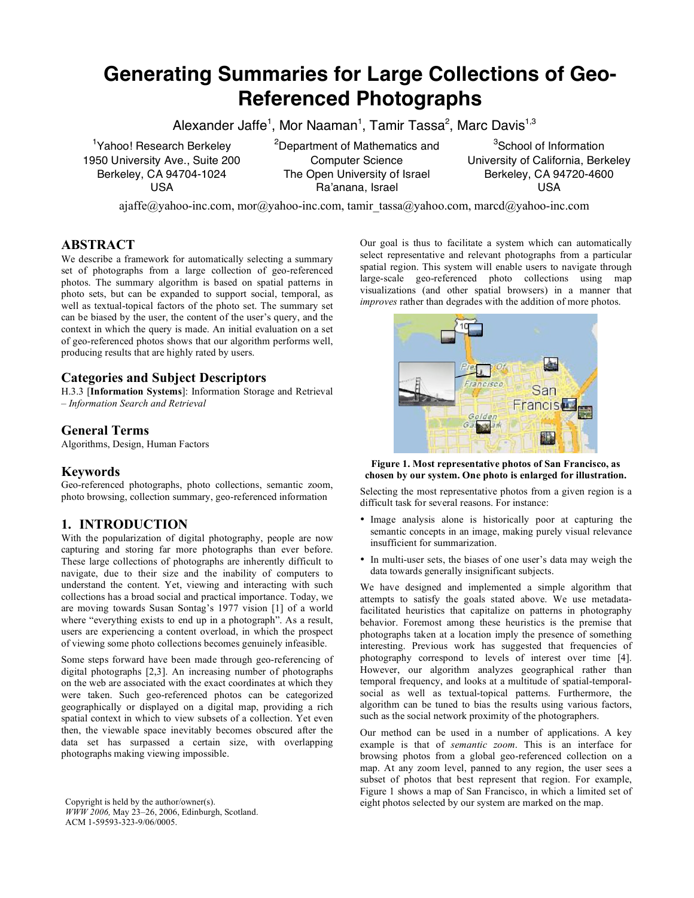# **Generating Summaries for Large Collections of Geo-Referenced Photographs**

Alexander Jaffe<sup>1</sup>, Mor Naaman<sup>1</sup>, Tamir Tassa<sup>2</sup>, Marc Davis<sup>1,3</sup>

<sup>1</sup>Yahoo! Research Berkeley 1950 University Ave., Suite 200 Berkeley, CA 94704-1024 USA

<sup>2</sup>Department of Mathematics and Computer Science The Open University of Israel Ra'anana, Israel

<sup>3</sup>School of Information University of California, Berkeley Berkeley, CA 94720-4600 USA

ajaffe@yahoo-inc.com, mor@yahoo-inc.com, tamir\_tassa@yahoo.com, marcd@yahoo-inc.com

# **ABSTRACT**

We describe a framework for automatically selecting a summary set of photographs from a large collection of geo-referenced photos. The summary algorithm is based on spatial patterns in photo sets, but can be expanded to support social, temporal, as well as textual-topical factors of the photo set. The summary set can be biased by the user, the content of the user's query, and the context in which the query is made. An initial evaluation on a set of geo-referenced photos shows that our algorithm performs well, producing results that are highly rated by users.

# **Categories and Subject Descriptors**

H.3.3 [**Information Systems**]: Information Storage and Retrieval – *Information Search and Retrieval*

## **General Terms**

Algorithms, Design, Human Factors

#### **Keywords**

Geo-referenced photographs, photo collections, semantic zoom, photo browsing, collection summary, geo-referenced information

# **1. INTRODUCTION**

With the popularization of digital photography, people are now capturing and storing far more photographs than ever before. These large collections of photographs are inherently difficult to navigate, due to their size and the inability of computers to understand the content. Yet, viewing and interacting with such collections has a broad social and practical importance. Today, we are moving towards Susan Sontag's 1977 vision [1] of a world where "everything exists to end up in a photograph". As a result, users are experiencing a content overload, in which the prospect of viewing some photo collections becomes genuinely infeasible.

Some steps forward have been made through geo-referencing of digital photographs [2,3]. An increasing number of photographs on the web are associated with the exact coordinates at which they were taken. Such geo-referenced photos can be categorized geographically or displayed on a digital map, providing a rich spatial context in which to view subsets of a collection. Yet even then, the viewable space inevitably becomes obscured after the data set has surpassed a certain size, with overlapping photographs making viewing impossible.

Our goal is thus to facilitate a system which can automatically select representative and relevant photographs from a particular spatial region. This system will enable users to navigate through large-scale geo-referenced photo collections using map visualizations (and other spatial browsers) in a manner that *improves* rather than degrades with the addition of more photos.



**Figure 1. Most representative photos of San Francisco, as chosen by our system. One photo is enlarged for illustration.**

Selecting the most representative photos from a given region is a difficult task for several reasons. For instance:

- Image analysis alone is historically poor at capturing the semantic concepts in an image, making purely visual relevance insufficient for summarization.
- In multi-user sets, the biases of one user's data may weigh the data towards generally insignificant subjects.

We have designed and implemented a simple algorithm that attempts to satisfy the goals stated above. We use metadatafacilitated heuristics that capitalize on patterns in photography behavior. Foremost among these heuristics is the premise that photographs taken at a location imply the presence of something interesting. Previous work has suggested that frequencies of photography correspond to levels of interest over time [4]. However, our algorithm analyzes geographical rather than temporal frequency, and looks at a multitude of spatial-temporalsocial as well as textual-topical patterns. Furthermore, the algorithm can be tuned to bias the results using various factors, such as the social network proximity of the photographers.

Our method can be used in a number of applications. A key example is that of *semantic zoom*. This is an interface for browsing photos from a global geo-referenced collection on a map. At any zoom level, panned to any region, the user sees a subset of photos that best represent that region. For example, Figure 1 shows a map of San Francisco, in which a limited set of Copyright is held by the author/owner(s). The map eight photos selected by our system are marked on the map.